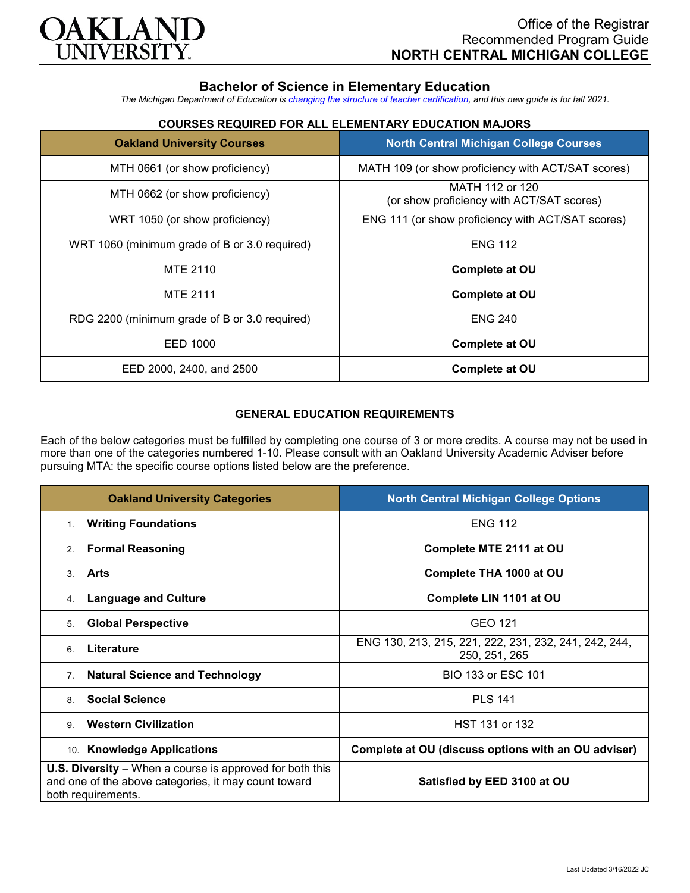

# **Bachelor of Science in Elementary Education**

*The Michigan Department of Education is [changing the structure of teacher certification,](https://docs.google.com/document/d/1W1uUK14Njx6WAB56T4jHbat65OZyg6TS04LdNWMXEcI/edit) and this new guide is for fall 2021.*

## **COURSES REQUIRED FOR ALL ELEMENTARY EDUCATION MAJORS**

| <b>Oakland University Courses</b>             | <b>North Central Michigan College Courses</b>                |
|-----------------------------------------------|--------------------------------------------------------------|
| MTH 0661 (or show proficiency)                | MATH 109 (or show proficiency with ACT/SAT scores)           |
| MTH 0662 (or show proficiency)                | MATH 112 or 120<br>(or show proficiency with ACT/SAT scores) |
| WRT 1050 (or show proficiency)                | ENG 111 (or show proficiency with ACT/SAT scores)            |
| WRT 1060 (minimum grade of B or 3.0 required) | <b>ENG 112</b>                                               |
| MTE 2110                                      | Complete at OU                                               |
| <b>MTE 2111</b>                               | <b>Complete at OU</b>                                        |
| RDG 2200 (minimum grade of B or 3.0 required) | <b>ENG 240</b>                                               |
| EED 1000                                      | Complete at OU                                               |
| EED 2000, 2400, and 2500                      | Complete at OU                                               |

### **GENERAL EDUCATION REQUIREMENTS**

Each of the below categories must be fulfilled by completing one course of 3 or more credits. A course may not be used in more than one of the categories numbered 1-10. Please consult with an Oakland University Academic Adviser before pursuing MTA: the specific course options listed below are the preference.

| <b>Oakland University Categories</b>                                                                                                          | <b>North Central Michigan College Options</b>                          |
|-----------------------------------------------------------------------------------------------------------------------------------------------|------------------------------------------------------------------------|
| <b>Writing Foundations</b><br>$1_{\ldots}$                                                                                                    | <b>ENG 112</b>                                                         |
| <b>Formal Reasoning</b><br>2.                                                                                                                 | Complete MTE 2111 at OU                                                |
| Arts<br>$\mathcal{S}$                                                                                                                         | Complete THA 1000 at OU                                                |
| <b>Language and Culture</b><br>4.                                                                                                             | Complete LIN 1101 at OU                                                |
| <b>Global Perspective</b><br>5.                                                                                                               | GEO 121                                                                |
| Literature<br>6.                                                                                                                              | ENG 130, 213, 215, 221, 222, 231, 232, 241, 242, 244,<br>250, 251, 265 |
| <b>Natural Science and Technology</b><br>7 <sub>1</sub>                                                                                       | BIO 133 or ESC 101                                                     |
| <b>Social Science</b><br>8                                                                                                                    | <b>PLS 141</b>                                                         |
| <b>Western Civilization</b><br>9                                                                                                              | HST 131 or 132                                                         |
| 10. Knowledge Applications                                                                                                                    | Complete at OU (discuss options with an OU adviser)                    |
| <b>U.S. Diversity</b> – When a course is approved for both this<br>and one of the above categories, it may count toward<br>both requirements. | Satisfied by EED 3100 at OU                                            |